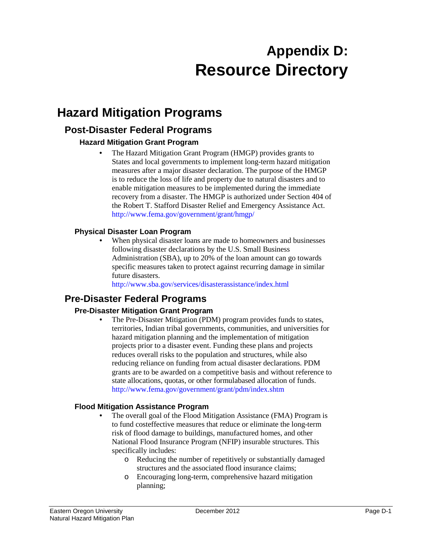# **Appendix D: Resource Directory**

## **Hazard Mitigation Programs**

## **Post-Disaster Federal Programs**

#### **Hazard Mitigation Grant Program**

• The Hazard Mitigation Grant Program (HMGP) provides grants to States and local governments to implement long-term hazard mitigation measures after a major disaster declaration. The purpose of the HMGP is to reduce the loss of life and property due to natural disasters and to enable mitigation measures to be implemented during the immediate recovery from a disaster. The HMGP is authorized under Section 404 of the Robert T. Stafford Disaster Relief and Emergency Assistance Act. http://www.fema.gov/government/grant/hmgp/

#### **Physical Disaster Loan Program**

When physical disaster loans are made to homeowners and businesses following disaster declarations by the U.S. Small Business Administration (SBA), up to 20% of the loan amount can go towards specific measures taken to protect against recurring damage in similar future disasters.

http://www.sba.gov/services/disasterassistance/index.html

## **Pre-Disaster Federal Programs**

#### **Pre-Disaster Mitigation Grant Program**

• The Pre-Disaster Mitigation (PDM) program provides funds to states, territories, Indian tribal governments, communities, and universities for hazard mitigation planning and the implementation of mitigation projects prior to a disaster event. Funding these plans and projects reduces overall risks to the population and structures, while also reducing reliance on funding from actual disaster declarations. PDM grants are to be awarded on a competitive basis and without reference to state allocations, quotas, or other formulabased allocation of funds. http://www.fema.gov/government/grant/pdm/index.shtm

#### **Flood Mitigation Assistance Program**

- The overall goal of the Flood Mitigation Assistance (FMA) Program is to fund costeffective measures that reduce or eliminate the long-term risk of flood damage to buildings, manufactured homes, and other National Flood Insurance Program (NFIP) insurable structures. This specifically includes:
	- o Reducing the number of repetitively or substantially damaged structures and the associated flood insurance claims;
	- o Encouraging long-term, comprehensive hazard mitigation planning;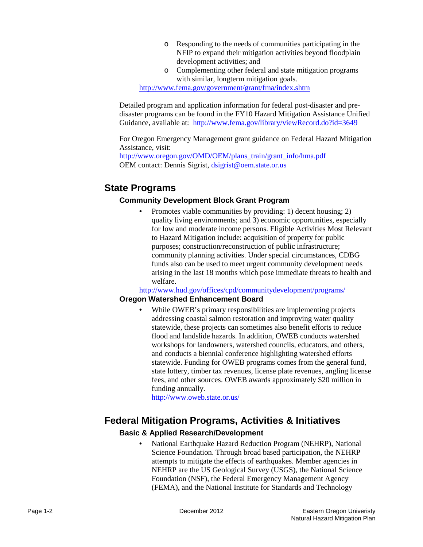- o Responding to the needs of communities participating in the NFIP to expand their mitigation activities beyond floodplain development activities; and
- o Complementing other federal and state mitigation programs with similar, longterm mitigation goals.

<http://www.fema.gov/government/grant/fma/index.shtm>

Detailed program and application information for federal post-disaster and predisaster programs can be found in the FY10 Hazard Mitigation Assistance Unified Guidance, available at: http://www.fema.gov/library/viewRecord.do?id=3649

For Oregon Emergency Management grant guidance on Federal Hazard Mitigation Assistance, visit:

http://www.oregon.gov/OMD/OEM/plans\_train/grant\_info/hma.pdf OEM contact: Dennis Sigrist, dsigrist@oem.state.or.us

## **State Programs**

#### **Community Development Block Grant Program**

• Promotes viable communities by providing: 1) decent housing; 2) quality living environments; and 3) economic opportunities, especially for low and moderate income persons. Eligible Activities Most Relevant to Hazard Mitigation include: acquisition of property for public purposes; construction/reconstruction of public infrastructure; community planning activities. Under special circumstances, CDBG funds also can be used to meet urgent community development needs arising in the last 18 months which pose immediate threats to health and welfare.

http://www.hud.gov/offices/cpd/communitydevelopment/programs/ **Oregon Watershed Enhancement Board**

While OWEB's primary responsibilities are implementing projects addressing coastal salmon restoration and improving water quality statewide, these projects can sometimes also benefit efforts to reduce flood and landslide hazards. In addition, OWEB conducts watershed workshops for landowners, watershed councils, educators, and others, and conducts a biennial conference highlighting watershed efforts statewide. Funding for OWEB programs comes from the general fund, state lottery, timber tax revenues, license plate revenues, angling license fees, and other sources. OWEB awards approximately \$20 million in funding annually.

http://www.oweb.state.or.us/

## **Federal Mitigation Programs, Activities & Initiatives**

#### **Basic & Applied Research/Development**

• National Earthquake Hazard Reduction Program (NEHRP), National Science Foundation. Through broad based participation, the NEHRP attempts to mitigate the effects of earthquakes. Member agencies in NEHRP are the US Geological Survey (USGS), the National Science Foundation (NSF), the Federal Emergency Management Agency (FEMA), and the National Institute for Standards and Technology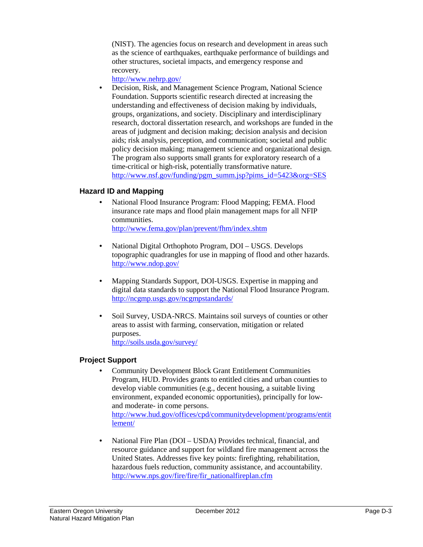(NIST). The agencies focus on research and development in areas such as the science of earthquakes, earthquake performance of buildings and other structures, societal impacts, and emergency response and recovery.

<http://www.nehrp.gov/>

• Decision, Risk, and Management Science Program, National Science Foundation. Supports scientific research directed at increasing the understanding and effectiveness of decision making by individuals, groups, organizations, and society. Disciplinary and interdisciplinary research, doctoral dissertation research, and workshops are funded in the areas of judgment and decision making; decision analysis and decision aids; risk analysis, perception, and communication; societal and public policy decision making; management science and organizational design. The program also supports small grants for exploratory research of a time-critical or high-risk, potentially transformative nature. [http://www.nsf.gov/funding/pgm\\_summ.jsp?pims\\_id=5423&org=SES](http://www.nsf.gov/funding/pgm_summ.jsp?pims_id=5423&org=SES)

#### **Hazard ID and Mapping**

- National Flood Insurance Program: Flood Mapping; FEMA. Flood insurance rate maps and flood plain management maps for all NFIP communities. <http://www.fema.gov/plan/prevent/fhm/index.shtm>
- National Digital Orthophoto Program, DOI USGS. Develops topographic quadrangles for use in mapping of flood and other hazards. <http://www.ndop.gov/>
- Mapping Standards Support, DOI-USGS. Expertise in mapping and digital data standards to support the National Flood Insurance Program. <http://ncgmp.usgs.gov/ncgmpstandards/>
- Soil Survey, USDA-NRCS. Maintains soil surveys of counties or other areas to assist with farming, conservation, mitigation or related purposes. <http://soils.usda.gov/survey/>

#### **Project Support**

- Community Development Block Grant Entitlement Communities Program, HUD. Provides grants to entitled cities and urban counties to develop viable communities (e.g., decent housing, a suitable living environment, expanded economic opportunities), principally for lowand moderate- in come persons. [http://www.hud.gov/offices/cpd/communitydevelopment/programs/entit](http://www.hud.gov/offices/cpd/communitydevelopment/programs/entitlement/) [lement/](http://www.hud.gov/offices/cpd/communitydevelopment/programs/entitlement/)
- National Fire Plan (DOI USDA) Provides technical, financial, and resource guidance and support for wildland fire management across the United States. Addresses five key points: firefighting, rehabilitation, hazardous fuels reduction, community assistance, and accountability. [http://www.nps.gov/fire/fire/fir\\_nationalfireplan.cfm](http://www.nps.gov/fire/fire/fir_nationalfireplan.cfm)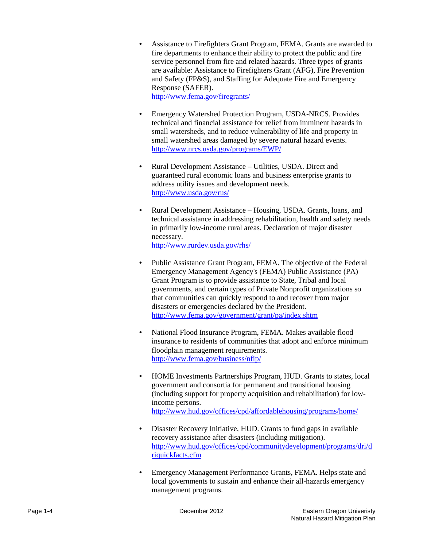- Assistance to Firefighters Grant Program, FEMA. Grants are awarded to fire departments to enhance their ability to protect the public and fire service personnel from fire and related hazards. Three types of grants are available: Assistance to Firefighters Grant (AFG), Fire Prevention and Safety (FP&S), and Staffing for Adequate Fire and Emergency Response (SAFER). <http://www.fema.gov/firegrants/>
- Emergency Watershed Protection Program, USDA-NRCS. Provides technical and financial assistance for relief from imminent hazards in small watersheds, and to reduce vulnerability of life and property in small watershed areas damaged by severe natural hazard events. <http://www.nrcs.usda.gov/programs/EWP/>
- Rural Development Assistance Utilities, USDA. Direct and guaranteed rural economic loans and business enterprise grants to address utility issues and development needs. <http://www.usda.gov/rus/>
- Rural Development Assistance Housing, USDA. Grants, loans, and technical assistance in addressing rehabilitation, health and safety needs in primarily low-income rural areas. Declaration of major disaster necessary.

<http://www.rurdev.usda.gov/rhs/>

- Public Assistance Grant Program, FEMA. The objective of the Federal Emergency Management Agency's (FEMA) Public Assistance (PA) Grant Program is to provide assistance to State, Tribal and local governments, and certain types of Private Nonprofit organizations so that communities can quickly respond to and recover from major disasters or emergencies declared by the President. <http://www.fema.gov/government/grant/pa/index.shtm>
- National Flood Insurance Program, FEMA. Makes available flood insurance to residents of communities that adopt and enforce minimum floodplain management requirements. <http://www.fema.gov/business/nfip/>
- HOME Investments Partnerships Program, HUD. Grants to states, local government and consortia for permanent and transitional housing (including support for property acquisition and rehabilitation) for lowincome persons. <http://www.hud.gov/offices/cpd/affordablehousing/programs/home/>
- Disaster Recovery Initiative, HUD. Grants to fund gaps in available recovery assistance after disasters (including mitigation). [http://www.hud.gov/offices/cpd/communitydevelopment/programs/dri/d](http://www.hud.gov/offices/cpd/communitydevelopment/programs/dri/driquickfacts.cfm) [riquickfacts.cfm](http://www.hud.gov/offices/cpd/communitydevelopment/programs/dri/driquickfacts.cfm)
- Emergency Management Performance Grants, FEMA. Helps state and local governments to sustain and enhance their all-hazards emergency management programs.